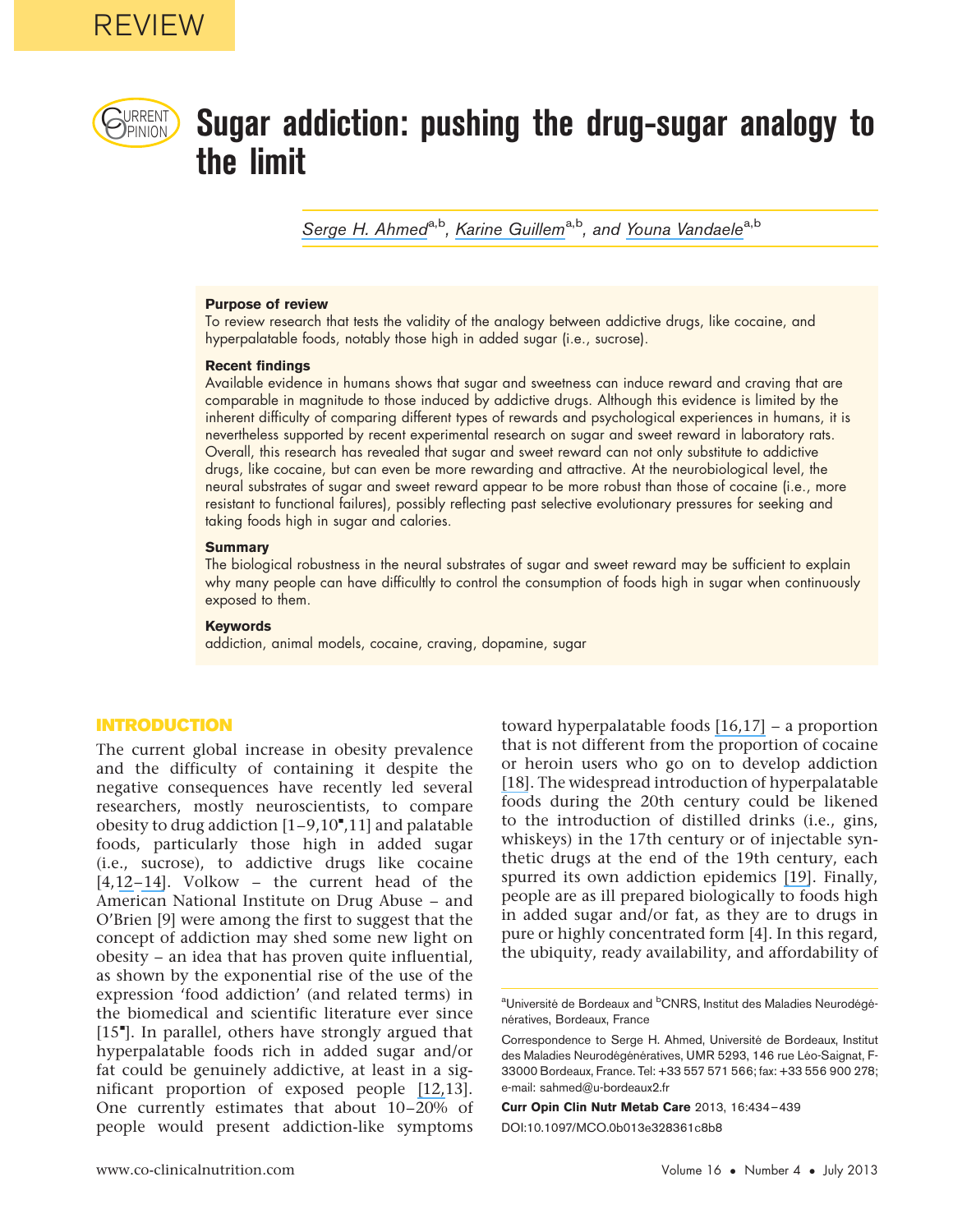

# $\mathcal{C}_{\text{PINION}}$  Sugar addiction: pushing the drug-sugar analogy to the limit

Serge H. Ahmed<sup>a,b</sup>, Karine Guillem<sup>a,b</sup>, and Youna Vandaele<sup>a,b</sup>

#### Purpose of review

To review research that tests the validity of the analogy between addictive drugs, like cocaine, and hyperpalatable foods, notably those high in added sugar (i.e., sucrose).

#### Recent findings

Available evidence in humans shows that sugar and sweetness can induce reward and craving that are comparable in magnitude to those induced by addictive drugs. Although this evidence is limited by the inherent difficulty of comparing different types of rewards and psychological experiences in humans, it is nevertheless supported by recent experimental research on sugar and sweet reward in laboratory rats. Overall, this research has revealed that sugar and sweet reward can not only substitute to addictive drugs, like cocaine, but can even be more rewarding and attractive. At the neurobiological level, the neural substrates of sugar and sweet reward appear to be more robust than those of cocaine (i.e., more resistant to functional failures), possibly reflecting past selective evolutionary pressures for seeking and taking foods high in sugar and calories.

#### **Summary**

The biological robustness in the neural substrates of sugar and sweet reward may be sufficient to explain why many people can have difficultly to control the consumption of foods high in sugar when continuously exposed to them.

#### Keywords

addiction, animal models, cocaine, craving, dopamine, sugar

# INTRODUCTION

The current global increase in obesity prevalence and the difficulty of containing it despite the negative consequences have recently led several researchers, mostly neuroscientists, to compare obesity to drug addiction  $[1-9, 10$ ", $11]$  and palatable foods, particularly those high in added sugar (i.e., sucrose), to addictive drugs like cocaine [4,12–14]. Volkow – the current head of the American National Institute on Drug Abuse – and O'Brien [9] were among the first to suggest that the concept of addiction may shed some new light on obesity – an idea that has proven quite influential, as shown by the exponential rise of the use of the expression 'food addiction' (and related terms) in the biomedical and scientific literature ever since [15"]. In parallel, others have strongly argued that hyperpalatable foods rich in added sugar and/or fat could be genuinely addictive, at least in a significant proportion of exposed people [12,13]. One currently estimates that about 10–20% of people would present addiction-like symptoms

toward hyperpalatable foods [16,17] – a proportion that is not different from the proportion of cocaine or heroin users who go on to develop addiction [18]. The widespread introduction of hyperpalatable foods during the 20th century could be likened to the introduction of distilled drinks (i.e., gins, whiskeys) in the 17th century or of injectable synthetic drugs at the end of the 19th century, each spurred its own addiction epidemics [19]. Finally, people are as ill prepared biologically to foods high in added sugar and/or fat, as they are to drugs in pure or highly concentrated form [4]. In this regard, the ubiquity, ready availability, and affordability of

Curr Opin Clin Nutr Metab Care 2013, 16:434–439

DOI:10.1097/MCO.0b013e328361c8b8

<sup>&</sup>lt;sup>a</sup>Université de Bordeaux and <sup>b</sup>CNRS, Institut des Maladies Neurodégénératives, Bordeaux, France

Correspondence to Serge H. Ahmed, Université de Bordeaux, Institut des Maladies Neurodégénératives, UMR 5293, 146 rue Léo-Saignat, F-33000 Bordeaux, France. Tel: +33 557 571 566; fax: +33 556 900 278; e-mail: sahmed@u-bordeaux2.fr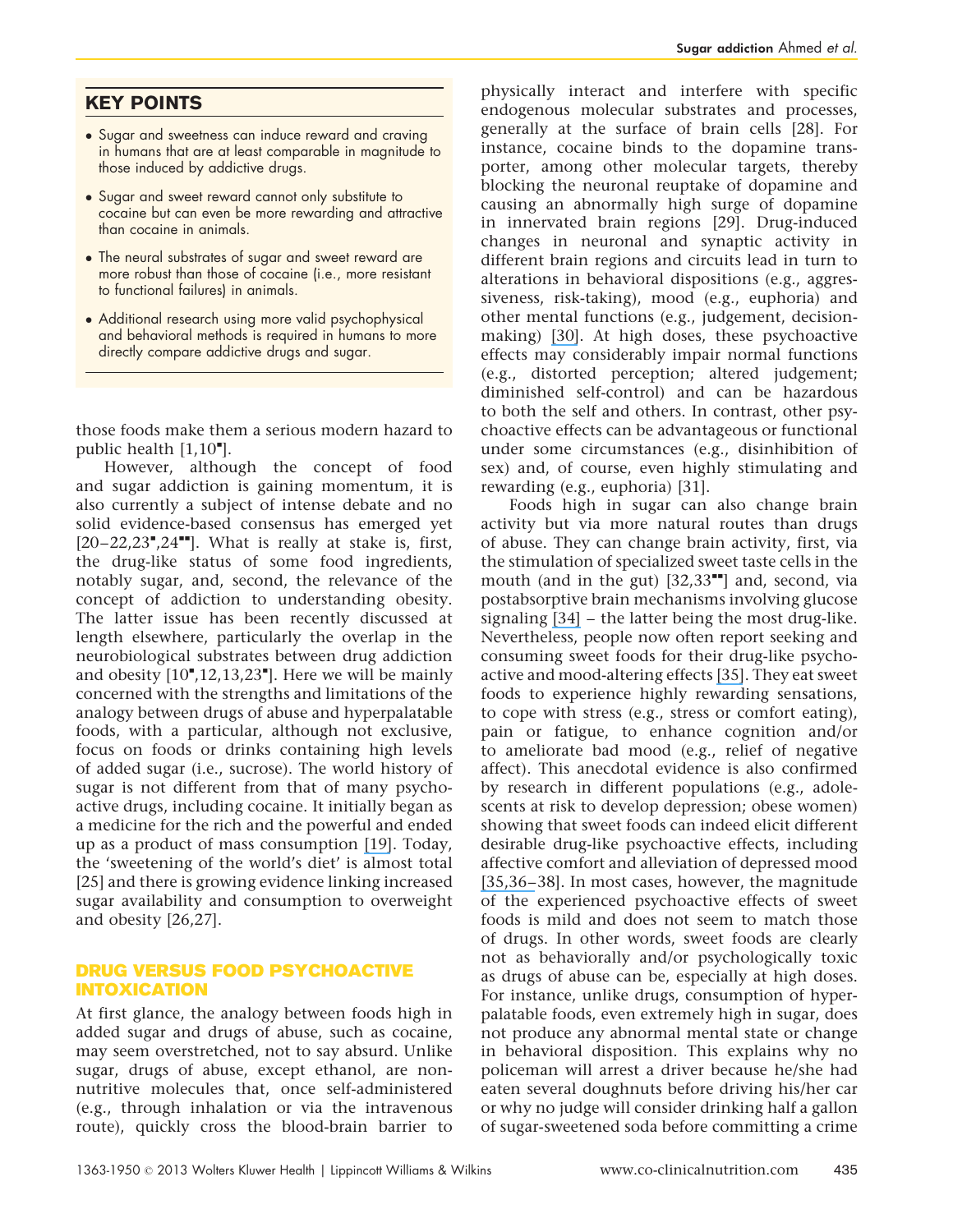# KEY POINTS

- Sugar and sweetness can induce reward and craving in humans that are at least comparable in magnitude to those induced by addictive drugs.
- Sugar and sweet reward cannot only substitute to cocaine but can even be more rewarding and attractive than cocaine in animals.
- The neural substrates of sugar and sweet reward are more robust than those of cocaine (i.e., more resistant to functional failures) in animals.
- Additional research using more valid psychophysical and behavioral methods is required in humans to more directly compare addictive drugs and sugar.

those foods make them a serious modern hazard to public health  $[1,10^{\bullet}].$ 

However, although the concept of food and sugar addiction is gaining momentum, it is also currently a subject of intense debate and no solid evidence-based consensus has emerged yet  $[20-22,23",24$ <sup> $\text{...}$ </sup>. What is really at stake is, first, the drug-like status of some food ingredients, notably sugar, and, second, the relevance of the concept of addiction to understanding obesity. The latter issue has been recently discussed at length elsewhere, particularly the overlap in the neurobiological substrates between drug addiction and obesity  $[10^\bullet, 12, 13, 23^\bullet]$ . Here we will be mainly concerned with the strengths and limitations of the analogy between drugs of abuse and hyperpalatable foods, with a particular, although not exclusive, focus on foods or drinks containing high levels of added sugar (i.e., sucrose). The world history of sugar is not different from that of many psychoactive drugs, including cocaine. It initially began as a medicine for the rich and the powerful and ended up as a product of mass consumption [19]. Today, the 'sweetening of the world's diet' is almost total [25] and there is growing evidence linking increased sugar availability and consumption to overweight and obesity [26,27].

# DRUG VERSUS FOOD PSYCHOACTIVE INTOXICATION

At first glance, the analogy between foods high in added sugar and drugs of abuse, such as cocaine, may seem overstretched, not to say absurd. Unlike sugar, drugs of abuse, except ethanol, are nonnutritive molecules that, once self-administered (e.g., through inhalation or via the intravenous route), quickly cross the blood-brain barrier to

physically interact and interfere with specific endogenous molecular substrates and processes, generally at the surface of brain cells [28]. For instance, cocaine binds to the dopamine transporter, among other molecular targets, thereby blocking the neuronal reuptake of dopamine and causing an abnormally high surge of dopamine in innervated brain regions [29]. Drug-induced changes in neuronal and synaptic activity in different brain regions and circuits lead in turn to alterations in behavioral dispositions (e.g., aggressiveness, risk-taking), mood (e.g., euphoria) and other mental functions (e.g., judgement, decisionmaking) [30]. At high doses, these psychoactive effects may considerably impair normal functions (e.g., distorted perception; altered judgement; diminished self-control) and can be hazardous to both the self and others. In contrast, other psychoactive effects can be advantageous or functional under some circumstances (e.g., disinhibition of sex) and, of course, even highly stimulating and rewarding (e.g., euphoria) [31].

Foods high in sugar can also change brain activity but via more natural routes than drugs of abuse. They can change brain activity, first, via the stimulation of specialized sweet taste cells in the mouth (and in the gut)  $[32,33$ <sup> $H$ </sup>] and, second, via postabsorptive brain mechanisms involving glucose signaling [34] – the latter being the most drug-like. Nevertheless, people now often report seeking and consuming sweet foods for their drug-like psychoactive and mood-altering effects [35]. They eat sweet foods to experience highly rewarding sensations, to cope with stress (e.g., stress or comfort eating), pain or fatigue, to enhance cognition and/or to ameliorate bad mood (e.g., relief of negative affect). This anecdotal evidence is also confirmed by research in different populations (e.g., adolescents at risk to develop depression; obese women) showing that sweet foods can indeed elicit different desirable drug-like psychoactive effects, including affective comfort and alleviation of depressed mood [35,36–38]. In most cases, however, the magnitude of the experienced psychoactive effects of sweet foods is mild and does not seem to match those of drugs. In other words, sweet foods are clearly not as behaviorally and/or psychologically toxic as drugs of abuse can be, especially at high doses. For instance, unlike drugs, consumption of hyperpalatable foods, even extremely high in sugar, does not produce any abnormal mental state or change in behavioral disposition. This explains why no policeman will arrest a driver because he/she had eaten several doughnuts before driving his/her car or why no judge will consider drinking half a gallon of sugar-sweetened soda before committing a crime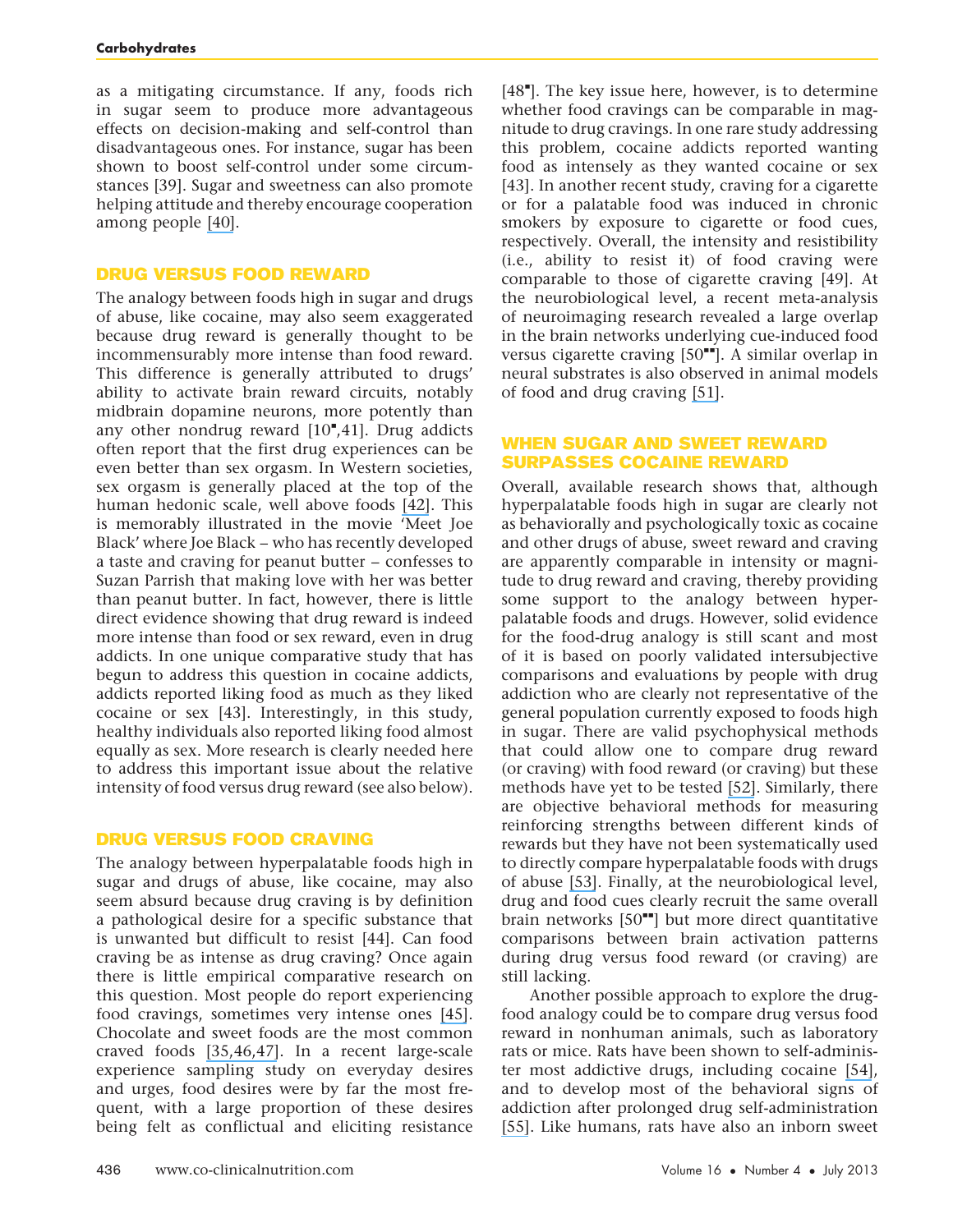as a mitigating circumstance. If any, foods rich in sugar seem to produce more advantageous effects on decision-making and self-control than disadvantageous ones. For instance, sugar has been shown to boost self-control under some circumstances [39]. Sugar and sweetness can also promote helping attitude and thereby encourage cooperation among people [40].

#### DRUG VERSUS FOOD REWARD

The analogy between foods high in sugar and drugs of abuse, like cocaine, may also seem exaggerated because drug reward is generally thought to be incommensurably more intense than food reward. This difference is generally attributed to drugs' ability to activate brain reward circuits, notably midbrain dopamine neurons, more potently than any other nondrug reward  $[10^\bullet, 41]$ . Drug addicts often report that the first drug experiences can be even better than sex orgasm. In Western societies, sex orgasm is generally placed at the top of the human hedonic scale, well above foods [42]. This is memorably illustrated in the movie 'Meet Joe Black' where Joe Black – who has recently developed a taste and craving for peanut butter – confesses to Suzan Parrish that making love with her was better than peanut butter. In fact, however, there is little direct evidence showing that drug reward is indeed more intense than food or sex reward, even in drug addicts. In one unique comparative study that has begun to address this question in cocaine addicts, addicts reported liking food as much as they liked cocaine or sex [43]. Interestingly, in this study, healthy individuals also reported liking food almost equally as sex. More research is clearly needed here to address this important issue about the relative intensity of food versus drug reward (see also below).

### DRUG VERSUS FOOD CRAVING

The analogy between hyperpalatable foods high in sugar and drugs of abuse, like cocaine, may also seem absurd because drug craving is by definition a pathological desire for a specific substance that is unwanted but difficult to resist [44]. Can food craving be as intense as drug craving? Once again there is little empirical comparative research on this question. Most people do report experiencing food cravings, sometimes very intense ones [45]. Chocolate and sweet foods are the most common craved foods [35,46,47]. In a recent large-scale experience sampling study on everyday desires and urges, food desires were by far the most frequent, with a large proportion of these desires being felt as conflictual and eliciting resistance

 $[48"$ ]. The key issue here, however, is to determine whether food cravings can be comparable in magnitude to drug cravings. In one rare study addressing this problem, cocaine addicts reported wanting food as intensely as they wanted cocaine or sex [43]. In another recent study, craving for a cigarette or for a palatable food was induced in chronic smokers by exposure to cigarette or food cues, respectively. Overall, the intensity and resistibility (i.e., ability to resist it) of food craving were comparable to those of cigarette craving [49]. At the neurobiological level, a recent meta-analysis of neuroimaging research revealed a large overlap in the brain networks underlying cue-induced food versus cigarette craving  $[50$ <sup>--</sup>]. A similar overlap in neural substrates is also observed in animal models of food and drug craving [51].

# WHEN SUGAR AND SWEET REWARD SURPASSES COCAINE REWARD

Overall, available research shows that, although hyperpalatable foods high in sugar are clearly not as behaviorally and psychologically toxic as cocaine and other drugs of abuse, sweet reward and craving are apparently comparable in intensity or magnitude to drug reward and craving, thereby providing some support to the analogy between hyperpalatable foods and drugs. However, solid evidence for the food-drug analogy is still scant and most of it is based on poorly validated intersubjective comparisons and evaluations by people with drug addiction who are clearly not representative of the general population currently exposed to foods high in sugar. There are valid psychophysical methods that could allow one to compare drug reward (or craving) with food reward (or craving) but these methods have yet to be tested [52]. Similarly, there are objective behavioral methods for measuring reinforcing strengths between different kinds of rewards but they have not been systematically used to directly compare hyperpalatable foods with drugs of abuse [53]. Finally, at the neurobiological level, drug and food cues clearly recruit the same overall brain networks  $[50$ <sup> $H$ </sup>] but more direct quantitative comparisons between brain activation patterns during drug versus food reward (or craving) are still lacking.

Another possible approach to explore the drugfood analogy could be to compare drug versus food reward in nonhuman animals, such as laboratory rats or mice. Rats have been shown to self-administer most addictive drugs, including cocaine [54], and to develop most of the behavioral signs of addiction after prolonged drug self-administration [55]. Like humans, rats have also an inborn sweet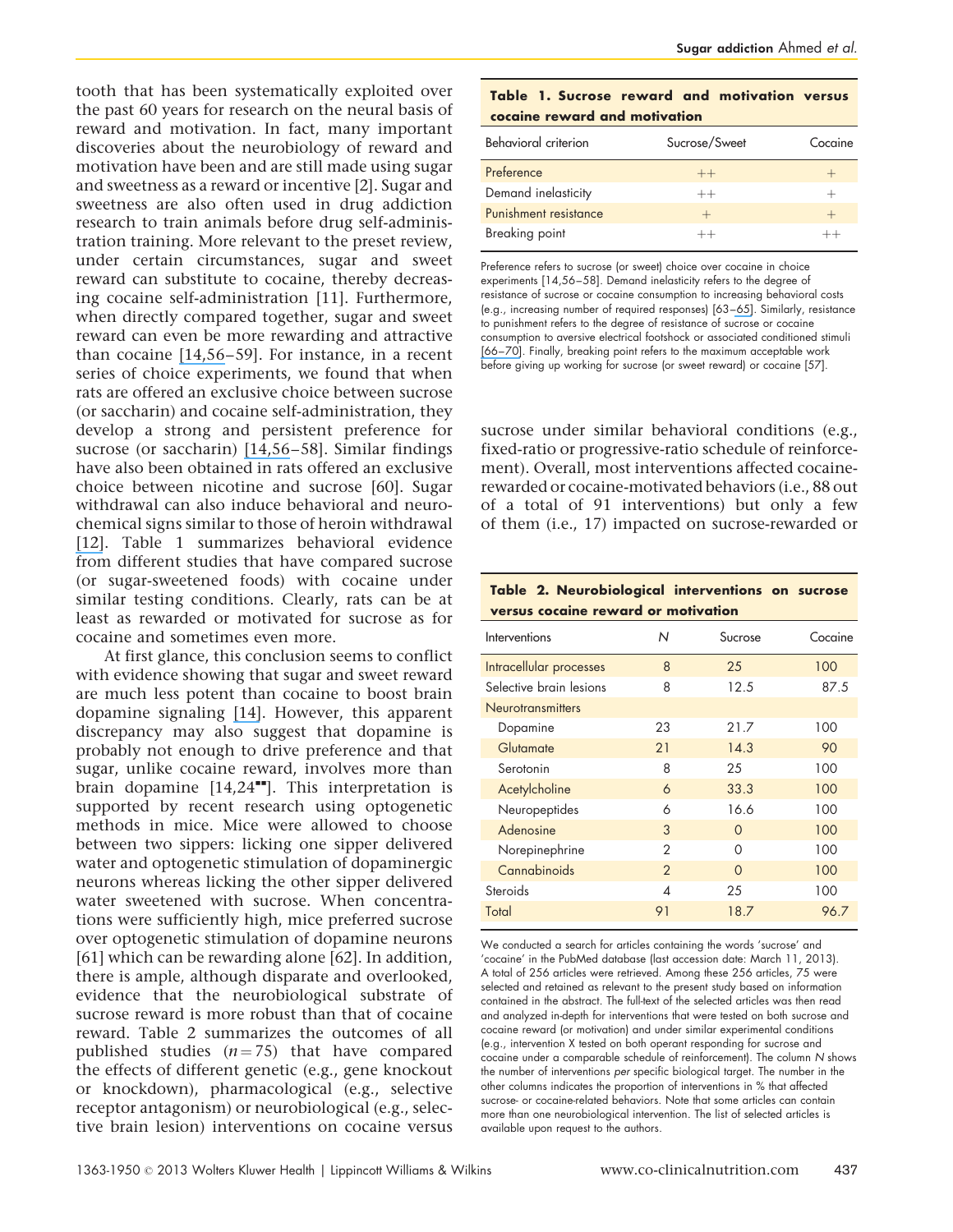tooth that has been systematically exploited over the past 60 years for research on the neural basis of reward and motivation. In fact, many important discoveries about the neurobiology of reward and motivation have been and are still made using sugar and sweetness as a reward or incentive [2]. Sugar and sweetness are also often used in drug addiction research to train animals before drug self-administration training. More relevant to the preset review, under certain circumstances, sugar and sweet reward can substitute to cocaine, thereby decreasing cocaine self-administration [11]. Furthermore, when directly compared together, sugar and sweet reward can even be more rewarding and attractive than cocaine [14,56–59]. For instance, in a recent series of choice experiments, we found that when rats are offered an exclusive choice between sucrose (or saccharin) and cocaine self-administration, they develop a strong and persistent preference for sucrose (or saccharin) [14,56–58]. Similar findings have also been obtained in rats offered an exclusive choice between nicotine and sucrose [60]. Sugar withdrawal can also induce behavioral and neurochemical signs similar to those of heroin withdrawal [12]. Table 1 summarizes behavioral evidence from different studies that have compared sucrose (or sugar-sweetened foods) with cocaine under similar testing conditions. Clearly, rats can be at least as rewarded or motivated for sucrose as for cocaine and sometimes even more.

At first glance, this conclusion seems to conflict with evidence showing that sugar and sweet reward are much less potent than cocaine to boost brain dopamine signaling [14]. However, this apparent discrepancy may also suggest that dopamine is probably not enough to drive preference and that sugar, unlike cocaine reward, involves more than brain dopamine  $[14,24$ <sup> $H$ </sup>]. This interpretation is supported by recent research using optogenetic methods in mice. Mice were allowed to choose between two sippers: licking one sipper delivered water and optogenetic stimulation of dopaminergic neurons whereas licking the other sipper delivered water sweetened with sucrose. When concentrations were sufficiently high, mice preferred sucrose over optogenetic stimulation of dopamine neurons [61] which can be rewarding alone [62]. In addition, there is ample, although disparate and overlooked, evidence that the neurobiological substrate of sucrose reward is more robust than that of cocaine reward. Table 2 summarizes the outcomes of all published studies  $(n = 75)$  that have compared the effects of different genetic (e.g., gene knockout or knockdown), pharmacological (e.g., selective receptor antagonism) or neurobiological (e.g., selective brain lesion) interventions on cocaine versus

| Table 1. Sucrose reward and motivation versus<br>cocaine reward and motivation |               |         |  |  |  |  |  |  |
|--------------------------------------------------------------------------------|---------------|---------|--|--|--|--|--|--|
| Behavioral criterion                                                           | Sucrose/Sweet | Cocaine |  |  |  |  |  |  |
| Preference                                                                     | $++$          |         |  |  |  |  |  |  |
| Demand inelasticity                                                            | $++$          |         |  |  |  |  |  |  |
| Punishment resistance                                                          | $+$           |         |  |  |  |  |  |  |
| Breaking point                                                                 |               |         |  |  |  |  |  |  |

Preference refers to sucrose (or sweet) choice over cocaine in choice experiments [14,56–58]. Demand inelasticity refers to the degree of resistance of sucrose or cocaine consumption to increasing behavioral costs (e.g., increasing number of required responses) [63–65]. Similarly, resistance to punishment refers to the degree of resistance of sucrose or cocaine consumption to aversive electrical footshock or associated conditioned stimuli [66–70]. Finally, breaking point refers to the maximum acceptable work before giving up working for sucrose (or sweet reward) or cocaine [57].

sucrose under similar behavioral conditions (e.g., fixed-ratio or progressive-ratio schedule of reinforcement). Overall, most interventions affected cocainerewarded or cocaine-motivated behaviors (i.e., 88 out of a total of 91 interventions) but only a few of them (i.e., 17) impacted on sucrose-rewarded or

|  |  | Table 2. Neurobiological interventions on sucrose |  |
|--|--|---------------------------------------------------|--|
|  |  | versus cocaine reward or motivation               |  |

| Ν                        | Sucrose  | Cocaine |
|--------------------------|----------|---------|
| 8                        | 25       | 100     |
| 8                        | 12.5     | 87.5    |
|                          |          |         |
| 23                       | 21.7     | 100     |
| 21                       | 14.3     | 90      |
| 8                        | 25       | 100     |
| 6                        | 33.3     | 100     |
| 6                        | 16.6     | 100     |
| 3                        | $\Omega$ | 100     |
| $\overline{2}$           | $\Omega$ | 100     |
| 2                        | $\Omega$ | 100     |
| $\boldsymbol{\varDelta}$ | 25       | 100     |
| 91                       | 18.7     | 96.7    |
|                          |          |         |

We conducted a search for articles containing the words 'sucrose' and 'cocaine' in the PubMed database (last accession date: March 11, 2013). A total of 256 articles were retrieved. Among these 256 articles, 75 were selected and retained as relevant to the present study based on information contained in the abstract. The full-text of the selected articles was then read and analyzed in-depth for interventions that were tested on both sucrose and cocaine reward (or motivation) and under similar experimental conditions (e.g., intervention X tested on both operant responding for sucrose and cocaine under a comparable schedule of reinforcement). The column N shows the number of interventions per specific biological target. The number in the other columns indicates the proportion of interventions in % that affected sucrose- or cocaine-related behaviors. Note that some articles can contain more than one neurobiological intervention. The list of selected articles is available upon request to the authors.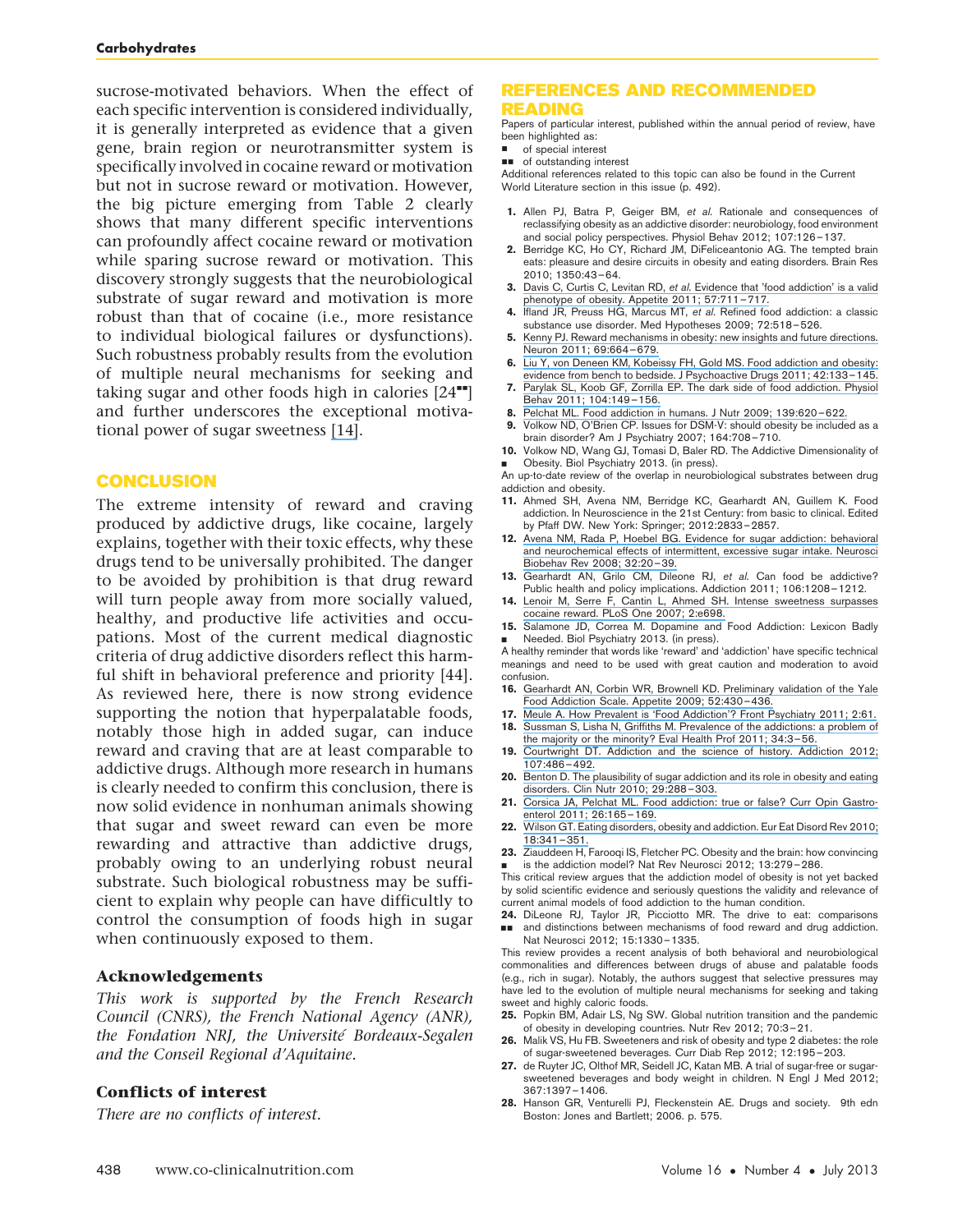sucrose-motivated behaviors. When the effect of each specific intervention is considered individually, it is generally interpreted as evidence that a given gene, brain region or neurotransmitter system is specifically involved in cocaine reward or motivation but not in sucrose reward or motivation. However, the big picture emerging from Table 2 clearly shows that many different specific interventions can profoundly affect cocaine reward or motivation while sparing sucrose reward or motivation. This discovery strongly suggests that the neurobiological substrate of sugar reward and motivation is more robust than that of cocaine (i.e., more resistance to individual biological failures or dysfunctions). Such robustness probably results from the evolution of multiple neural mechanisms for seeking and taking sugar and other foods high in calories  $[24<sup>••</sup>]$ and further underscores the exceptional motivational power of sugar sweetness [14].

# **CONCLUSION**

The extreme intensity of reward and craving produced by addictive drugs, like cocaine, largely explains, together with their toxic effects, why these drugs tend to be universally prohibited. The danger to be avoided by prohibition is that drug reward will turn people away from more socially valued, healthy, and productive life activities and occupations. Most of the current medical diagnostic criteria of drug addictive disorders reflect this harmful shift in behavioral preference and priority [44]. As reviewed here, there is now strong evidence supporting the notion that hyperpalatable foods, notably those high in added sugar, can induce reward and craving that are at least comparable to addictive drugs. Although more research in humans is clearly needed to confirm this conclusion, there is now solid evidence in nonhuman animals showing that sugar and sweet reward can even be more rewarding and attractive than addictive drugs, probably owing to an underlying robust neural substrate. Such biological robustness may be sufficient to explain why people can have difficultly to control the consumption of foods high in sugar when continuously exposed to them.

#### Acknowledgements

This work is supported by the French Research Council (CNRS), the French National Agency (ANR), the Fondation NRJ, the Université Bordeaux-Segalen and the Conseil Regional d'Aquitaine.

#### Conflicts of interest

There are no conflicts of interest.

#### REFERENCES AND RECOMMENDED READING

Papers of particular interest, published within the annual period of review, have been highlighted as:

- of special interest
- $\blacksquare$  of outstanding interest

Additional references related to this topic can also be found in the Current World Literature section in this issue (p. 492).

- 1. Allen PJ, Batra P, Geiger BM, et al. Rationale and consequences of reclassifying obesity as an addictive disorder: neurobiology, food environment and social policy perspectives. Physiol Behav 2012; 107:126–137.
- 2. Berridge KC, Ho CY, Richard JM, DiFeliceantonio AG. The tempted brain eats: pleasure and desire circuits in obesity and eating disorders. Brain Res 2010; 1350:43–64.
- 3. Davis C, Curtis C, Levitan RD, et al. Evidence that 'food addiction' is a valid phenotype of obesity. Appetite 2011; 57:711–717.
- 4. Ifland JR, Preuss HG, Marcus MT, et al. Refined food addiction: a classic substance use disorder. Med Hypotheses 2009; 72:518–526.
- 5. Kenny PJ. Reward mechanisms in obesity: new insights and future directions. Neuron 2011; 69:664–679.
- 6. Liu Y, von Deneen KM, Kobeissy FH, Gold MS. Food addiction and obesity: evidence from bench to bedside. J Psychoactive Drugs 2011; 42:133–145.
- 7. Parylak SL, Koob GF, Zorrilla EP. The dark side of food addiction. Physiol Behav 2011; 104:149–156.
- 8. Pelchat ML. Food addiction in humans. J Nutr 2009; 139:620–622.
- 9. Volkow ND, O'Brien CP. Issues for DSM-V: should obesity be included as a
- brain disorder? Am J Psychiatry 2007; 164:708–710. 10. Volkow ND, Wang GJ, Tomasi D, Baler RD. The Addictive Dimensionality of Obesity. Biol Psychiatry 2013. (in press).

& An up-to-date review of the overlap in neurobiological substrates between drug addiction and obesity.

- 11. Ahmed SH, Avena NM, Berridge KC, Gearhardt AN, Guillem K. Food addiction. In Neuroscience in the 21st Century: from basic to clinical. Edited by Pfaff DW. New York: Springer; 2012:2833–2857.
- 12. Avena NM, Rada P, Hoebel BG. Evidence for sugar addiction: behavioral and neurochemical effects of intermittent, excessive sugar intake. Neurosci Biobehav Rev 2008; 32:20–39.
- 13. Gearhardt AN, Grilo CM, Dileone RJ, et al. Can food be addictive? Public health and policy implications. Addiction 2011; 106:1208–1212.
- 14. Lenoir M, Serre F, Cantin L, Ahmed SH. Intense sweetness surpasses cocaine reward. PLoS One 2007; 2:e698.
- 15. Salamone JD, Correa M. Dopamine and Food Addiction: Lexicon Badly & Needed. Biol Psychiatry 2013. (in press).

A healthy reminder that words like 'reward' and 'addiction' have specific technical meanings and need to be used with great caution and moderation to avoid confusion.

- 16. Gearhardt AN, Corbin WR, Brownell KD. Preliminary validation of the Yale Food Addiction Scale. Appetite 2009; 52:430–436.
- 17. Meule A. How Prevalent is 'Food Addiction'? Front Psychiatry 2011; 2:61. 18. Sussman S, Lisha N, Griffiths M. Prevalence of the addictions: a problem of
- the majority or the minority? Eval Health Prof 2011; 34:3–56. 19. Courtwright DT. Addiction and the science of history. Addiction 2012;
- 107:486–492.
- 20. Benton D. The plausibility of sugar addiction and its role in obesity and eating disorders. Clin Nutr 2010; 29:288–303.
- 21. Corsica JA, Pelchat ML. Food addiction: true or false? Curr Opin Gastroenterol 2011; 26:165–169.
- 22. Wilson GT. Eating disorders, obesity and addiction. Eur Eat Disord Rev 2010; 18:341–351.
- 23. Ziauddeen H, Farooqi IS, Fletcher PC. Obesity and the brain: how convincing & is the addiction model? Nat Rev Neurosci 2012; 13:279–286.

This critical review argues that the addiction model of obesity is not yet backed by solid scientific evidence and seriously questions the validity and relevance of current animal models of food addiction to the human condition.

- 24. DiLeone RJ, Taylor JR, Picciotto MR. The drive to eat: comparisons
- && and distinctions between mechanisms of food reward and drug addiction. Nat Neurosci 2012; 15:1330–1335.

This review provides a recent analysis of both behavioral and neurobiological commonalities and differences between drugs of abuse and palatable foods (e.g., rich in sugar). Notably, the authors suggest that selective pressures may have led to the evolution of multiple neural mechanisms for seeking and taking sweet and highly caloric foods.

- 25. Popkin BM, Adair LS, Ng SW. Global nutrition transition and the pandemic of obesity in developing countries. Nutr Rev 2012; 70:3–21.
- 26. Malik VS, Hu FB. Sweeteners and risk of obesity and type 2 diabetes: the role of sugar-sweetened beverages. Curr Diab Rep 2012; 12:195–203.
- 27. de Ruyter JC, Olthof MR, Seidell JC, Katan MB. A trial of sugar-free or sugarsweetened beverages and body weight in children. N Engl J Med 2012; 367:1397–1406.
- 28. Hanson GR, Venturelli PJ, Fleckenstein AE. Drugs and society. 9th edn Boston: Jones and Bartlett; 2006. p. 575.